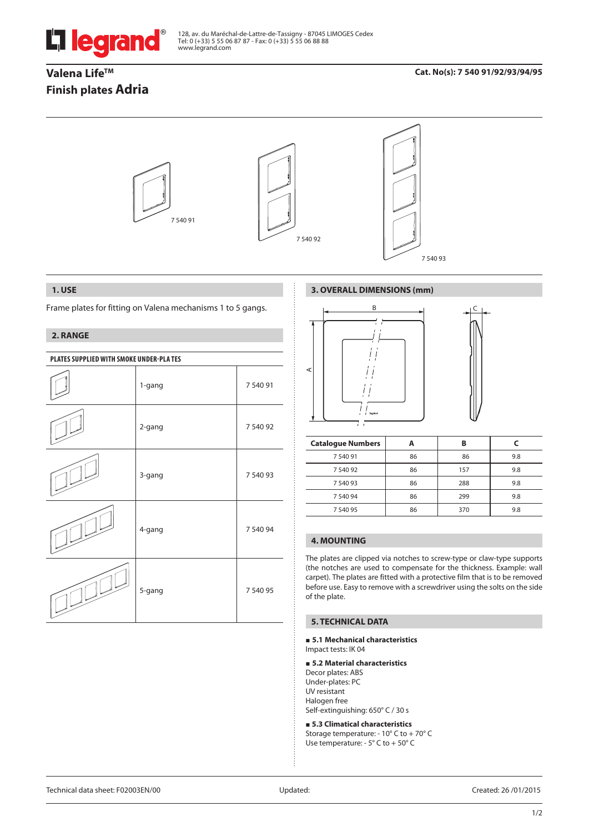

128, av. du Maréchal-de-Lattre-de-Tassigny - 87045 LIMOGES Cedex Tel: 0 (+33) 5 55 06 87 87 - Fax: 0 (+33) 5 55 06 88 88 www.legrand.com

# Valena Life<sup>™</sup> **Finish plates Adria**

## **Cat. No(s): 7 540 91/92/93/94/95**



### **1. USE**

Frame plates for fitting on Valena mechanisms 1 to 5 gangs.

## **2. RANGE**

| PLATES SUPPLIED WITH SMOKE UNDER-PLA TES |        |          |  |
|------------------------------------------|--------|----------|--|
|                                          | 1-gang | 7 540 91 |  |
|                                          | 2-gang | 7 540 92 |  |
|                                          | 3-gang | 7 540 93 |  |
|                                          | 4-gang | 7 540 94 |  |
|                                          | 5-gang | 7 540 95 |  |

# **3. OVERALL DIMENSIONS (mm)**



| <b>Catalogue Numbers</b> |    | в   |     |
|--------------------------|----|-----|-----|
| 754091                   | 86 | 86  | 9.8 |
| 7 540 92                 | 86 | 157 | 9.8 |
| 7 540 93                 | 86 | 288 | 9.8 |
| 7 540 94                 | 86 | 299 | 9.8 |
| 7 540 95                 | 86 | 370 | 9.8 |

# **4. MOUNTING**

The plates are clipped via notches to screw-type or claw-type supports (the notches are used to compensate for the thickness. Example: wall carpet). The plates are fitted with a protective film that is to be removed before use. Easy to remove with a screwdriver using the solts on the side of the plate.

### **5. TECHNICAL DATA**

#### **5.1 Mechanical characteristics** Impact tests: IK 04

#### **5.2 Material characteristics**

Decor plates: ABS Under-plates: PC UV resistant Halogen free Self-extinguishing: 650° C / 30 s

 **5.3 Climatical characteristics** Storage temperature: - 10° C to + 70° C Use temperature: - 5° C to + 50° C

Technical data sheet: F02003EN/00 Updated: Created: 26 /01/2015